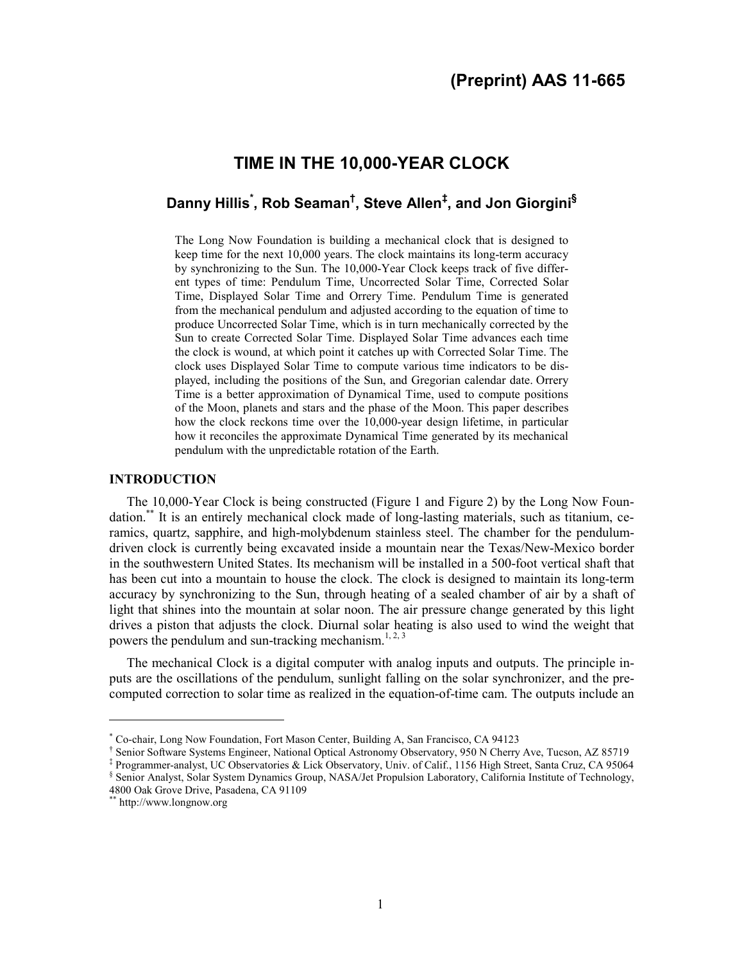# **TIME IN THE 10,000-YEAR CLOCK**

# **Danny Hillis\* , Rob Seaman† , Steve Allen# , and Jon Giorgini§**

The Long Now Foundation is building a mechanical clock that is designed to keep time for the next 10,000 years. The clock maintains its long-term accuracy by synchronizing to the Sun. The 10,000-Year Clock keeps track of five different types of time: Pendulum Time, Uncorrected Solar Time, Corrected Solar Time, Displayed Solar Time and Orrery Time. Pendulum Time is generated from the mechanical pendulum and adjusted according to the equation of time to produce Uncorrected Solar Time, which is in turn mechanically corrected by the Sun to create Corrected Solar Time. Displayed Solar Time advances each time the clock is wound, at which point it catches up with Corrected Solar Time. The clock uses Displayed Solar Time to compute various time indicators to be displayed, including the positions of the Sun, and Gregorian calendar date. Orrery Time is a better approximation of Dynamical Time, used to compute positions of the Moon, planets and stars and the phase of the Moon. This paper describes how the clock reckons time over the 10,000-year design lifetime, in particular how it reconciles the approximate Dynamical Time generated by its mechanical pendulum with the unpredictable rotation of the Earth.

#### **INTRODUCTION**

The 10,000-Year Clock is being constructed (Figure 1 and Figure 2) by the Long Now Foundation.\*\* It is an entirely mechanical clock made of long-lasting materials, such as titanium, ceramics, quartz, sapphire, and high-molybdenum stainless steel. The chamber for the pendulumdriven clock is currently being excavated inside a mountain near the Texas/New-Mexico border in the southwestern United States. Its mechanism will be installed in a 500-foot vertical shaft that has been cut into a mountain to house the clock. The clock is designed to maintain its long-term accuracy by synchronizing to the Sun, through heating of a sealed chamber of air by a shaft of light that shines into the mountain at solar noon. The air pressure change generated by this light drives a piston that adjusts the clock. Diurnal solar heating is also used to wind the weight that powers the pendulum and sun-tracking mechanism.<sup>1, 2, 3</sup>

The mechanical Clock is a digital computer with analog inputs and outputs. The principle inputs are the oscillations of the pendulum, sunlight falling on the solar synchronizer, and the precomputed correction to solar time as realized in the equation-of-time cam. The outputs include an

 $\overline{a}$ 

<sup>\*</sup> Co-chair, Long Now Foundation, Fort Mason Center, Building A, San Francisco, CA 94123

<sup>†</sup> Senior Software Systems Engineer, National Optical Astronomy Observatory, 950 N Cherry Ave, Tucson, AZ 85719

<sup>‡</sup> Programmer-analyst, UC Observatories & Lick Observatory, Univ. of Calif., 1156 High Street, Santa Cruz, CA 95064

<sup>§</sup> Senior Analyst, Solar System Dynamics Group, NASA/Jet Propulsion Laboratory, California Institute of Technology, 4800 Oak Grove Drive, Pasadena, CA 91109

<sup>\*\*</sup> http://www.longnow.org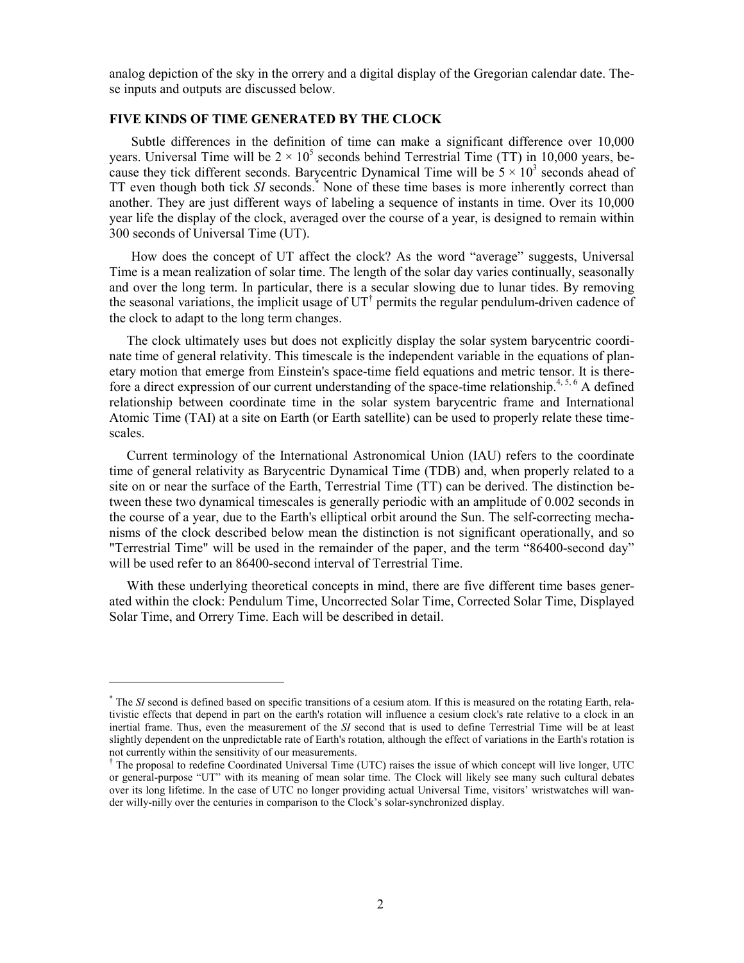analog depiction of the sky in the orrery and a digital display of the Gregorian calendar date. These inputs and outputs are discussed below.

#### **FIVE KINDS OF TIME GENERATED BY THE CLOCK**

Subtle differences in the definition of time can make a significant difference over 10,000 years. Universal Time will be  $2 \times 10^5$  seconds behind Terrestrial Time (TT) in 10,000 years, because they tick different seconds. Barycentric Dynamical Time will be  $5 \times 10^3$  seconds ahead of TT even though both tick SI seconds.<sup>\*</sup> None of these time bases is more inherently correct than another. They are just different ways of labeling a sequence of instants in time. Over its 10,000 year life the display of the clock, averaged over the course of a year, is designed to remain within 300 seconds of Universal Time (UT).

How does the concept of UT affect the clock? As the word "average" suggests, Universal Time is a mean realization of solar time. The length of the solar day varies continually, seasonally and over the long term. In particular, there is a secular slowing due to lunar tides. By removing the seasonal variations, the implicit usage of  $UT^{\dagger}$  permits the regular pendulum-driven cadence of the clock to adapt to the long term changes.

The clock ultimately uses but does not explicitly display the solar system barycentric coordinate time of general relativity. This timescale is the independent variable in the equations of planetary motion that emerge from Einstein's space-time field equations and metric tensor. It is therefore a direct expression of our current understanding of the space-time relationship.<sup>4, 5, 6</sup> A defined relationship between coordinate time in the solar system barycentric frame and International Atomic Time (TAI) at a site on Earth (or Earth satellite) can be used to properly relate these timescales.

Current terminology of the International Astronomical Union (IAU) refers to the coordinate time of general relativity as Barycentric Dynamical Time (TDB) and, when properly related to a site on or near the surface of the Earth, Terrestrial Time (TT) can be derived. The distinction between these two dynamical timescales is generally periodic with an amplitude of 0.002 seconds in the course of a year, due to the Earth's elliptical orbit around the Sun. The self-correcting mechanisms of the clock described below mean the distinction is not significant operationally, and so "Terrestrial Time" will be used in the remainder of the paper, and the term "86400-second day" will be used refer to an 86400-second interval of Terrestrial Time.

With these underlying theoretical concepts in mind, there are five different time bases generated within the clock: Pendulum Time, Uncorrected Solar Time, Corrected Solar Time, Displayed Solar Time, and Orrery Time. Each will be described in detail.

<u>.</u>

<sup>\*</sup> The *SI* second is defined based on specific transitions of a cesium atom. If this is measured on the rotating Earth, relativistic effects that depend in part on the earth's rotation will influence a cesium clock's rate relative to a clock in an inertial frame. Thus, even the measurement of the *SI* second that is used to define Terrestrial Time will be at least slightly dependent on the unpredictable rate of Earth's rotation, although the effect of variations in the Earth's rotation is not currently within the sensitivity of our measurements.

<sup>†</sup> The proposal to redefine Coordinated Universal Time (UTC) raises the issue of which concept will live longer, UTC or general-purpose "UT" with its meaning of mean solar time. The Clock will likely see many such cultural debates over its long lifetime. In the case of UTC no longer providing actual Universal Time, visitors' wristwatches will wander willy-nilly over the centuries in comparison to the Clock's solar-synchronized display.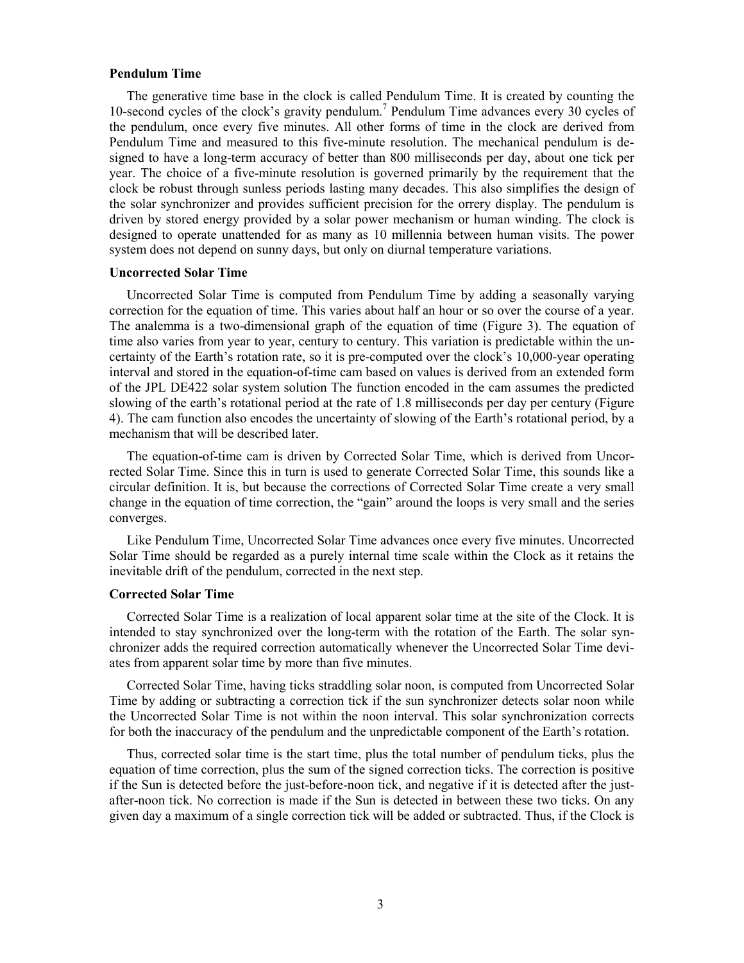#### **Pendulum Time**

The generative time base in the clock is called Pendulum Time. It is created by counting the 10-second cycles of the clock's gravity pendulum.<sup>7</sup> Pendulum Time advances every 30 cycles of the pendulum, once every five minutes. All other forms of time in the clock are derived from Pendulum Time and measured to this five-minute resolution. The mechanical pendulum is designed to have a long-term accuracy of better than 800 milliseconds per day, about one tick per year. The choice of a five-minute resolution is governed primarily by the requirement that the clock be robust through sunless periods lasting many decades. This also simplifies the design of the solar synchronizer and provides sufficient precision for the orrery display. The pendulum is driven by stored energy provided by a solar power mechanism or human winding. The clock is designed to operate unattended for as many as 10 millennia between human visits. The power system does not depend on sunny days, but only on diurnal temperature variations.

#### **Uncorrected Solar Time**

Uncorrected Solar Time is computed from Pendulum Time by adding a seasonally varying correction for the equation of time. This varies about half an hour or so over the course of a year. The analemma is a two-dimensional graph of the equation of time (Figure 3). The equation of time also varies from year to year, century to century. This variation is predictable within the uncertainty of the Earth's rotation rate, so it is pre-computed over the clock's 10,000-year operating interval and stored in the equation-of-time cam based on values is derived from an extended form of the JPL DE422 solar system solution The function encoded in the cam assumes the predicted slowing of the earth's rotational period at the rate of 1.8 milliseconds per day per century (Figure 4). The cam function also encodes the uncertainty of slowing of the Earth's rotational period, by a mechanism that will be described later.

The equation-of-time cam is driven by Corrected Solar Time, which is derived from Uncorrected Solar Time. Since this in turn is used to generate Corrected Solar Time, this sounds like a circular definition. It is, but because the corrections of Corrected Solar Time create a very small change in the equation of time correction, the "gain" around the loops is very small and the series converges.

Like Pendulum Time, Uncorrected Solar Time advances once every five minutes. Uncorrected Solar Time should be regarded as a purely internal time scale within the Clock as it retains the inevitable drift of the pendulum, corrected in the next step.

#### **Corrected Solar Time**

Corrected Solar Time is a realization of local apparent solar time at the site of the Clock. It is intended to stay synchronized over the long-term with the rotation of the Earth. The solar synchronizer adds the required correction automatically whenever the Uncorrected Solar Time deviates from apparent solar time by more than five minutes.

Corrected Solar Time, having ticks straddling solar noon, is computed from Uncorrected Solar Time by adding or subtracting a correction tick if the sun synchronizer detects solar noon while the Uncorrected Solar Time is not within the noon interval. This solar synchronization corrects for both the inaccuracy of the pendulum and the unpredictable component of the Earth's rotation.

Thus, corrected solar time is the start time, plus the total number of pendulum ticks, plus the equation of time correction, plus the sum of the signed correction ticks. The correction is positive if the Sun is detected before the just-before-noon tick, and negative if it is detected after the justafter-noon tick. No correction is made if the Sun is detected in between these two ticks. On any given day a maximum of a single correction tick will be added or subtracted. Thus, if the Clock is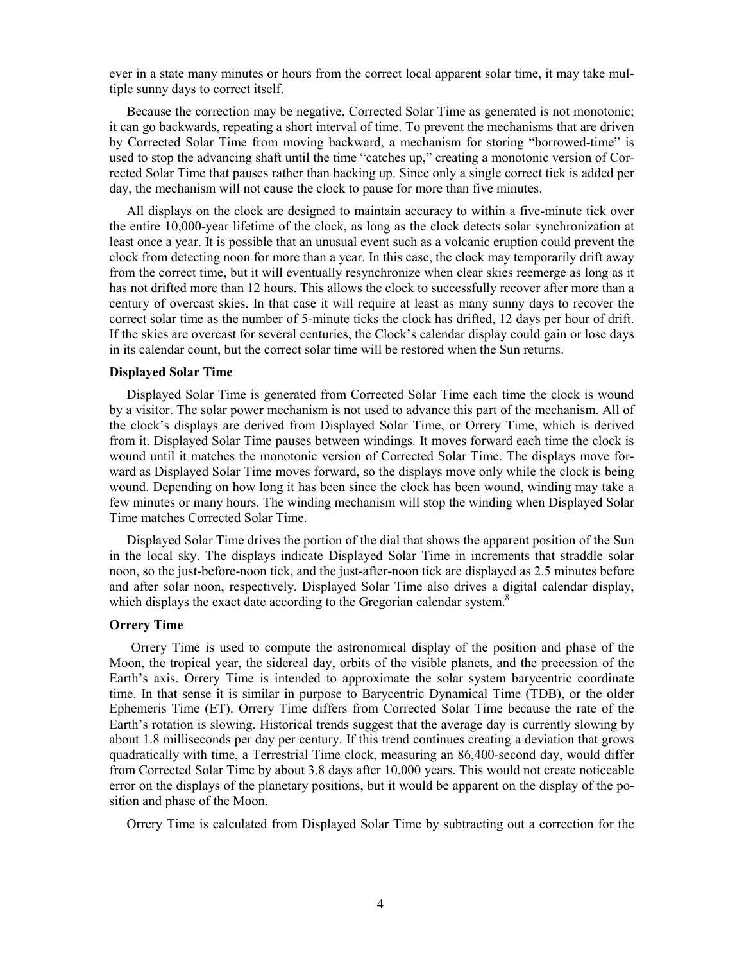ever in a state many minutes or hours from the correct local apparent solar time, it may take multiple sunny days to correct itself.

Because the correction may be negative, Corrected Solar Time as generated is not monotonic; it can go backwards, repeating a short interval of time. To prevent the mechanisms that are driven by Corrected Solar Time from moving backward, a mechanism for storing "borrowed-time" is used to stop the advancing shaft until the time "catches up," creating a monotonic version of Corrected Solar Time that pauses rather than backing up. Since only a single correct tick is added per day, the mechanism will not cause the clock to pause for more than five minutes.

All displays on the clock are designed to maintain accuracy to within a five-minute tick over the entire 10,000-year lifetime of the clock, as long as the clock detects solar synchronization at least once a year. It is possible that an unusual event such as a volcanic eruption could prevent the clock from detecting noon for more than a year. In this case, the clock may temporarily drift away from the correct time, but it will eventually resynchronize when clear skies reemerge as long as it has not drifted more than 12 hours. This allows the clock to successfully recover after more than a century of overcast skies. In that case it will require at least as many sunny days to recover the correct solar time as the number of 5-minute ticks the clock has drifted, 12 days per hour of drift. If the skies are overcast for several centuries, the Clock's calendar display could gain or lose days in its calendar count, but the correct solar time will be restored when the Sun returns.

#### **Displayed Solar Time**

Displayed Solar Time is generated from Corrected Solar Time each time the clock is wound by a visitor. The solar power mechanism is not used to advance this part of the mechanism. All of the clock's displays are derived from Displayed Solar Time, or Orrery Time, which is derived from it. Displayed Solar Time pauses between windings. It moves forward each time the clock is wound until it matches the monotonic version of Corrected Solar Time. The displays move forward as Displayed Solar Time moves forward, so the displays move only while the clock is being wound. Depending on how long it has been since the clock has been wound, winding may take a few minutes or many hours. The winding mechanism will stop the winding when Displayed Solar Time matches Corrected Solar Time.

Displayed Solar Time drives the portion of the dial that shows the apparent position of the Sun in the local sky. The displays indicate Displayed Solar Time in increments that straddle solar noon, so the just-before-noon tick, and the just-after-noon tick are displayed as 2.5 minutes before and after solar noon, respectively. Displayed Solar Time also drives a digital calendar display, which displays the exact date according to the Gregorian calendar system.<sup>8</sup>

## **Orrery Time**

Orrery Time is used to compute the astronomical display of the position and phase of the Moon, the tropical year, the sidereal day, orbits of the visible planets, and the precession of the Earth's axis. Orrery Time is intended to approximate the solar system barycentric coordinate time. In that sense it is similar in purpose to Barycentric Dynamical Time (TDB), or the older Ephemeris Time (ET). Orrery Time differs from Corrected Solar Time because the rate of the Earth's rotation is slowing. Historical trends suggest that the average day is currently slowing by about 1.8 milliseconds per day per century. If this trend continues creating a deviation that grows quadratically with time, a Terrestrial Time clock, measuring an 86,400-second day, would differ from Corrected Solar Time by about 3.8 days after 10,000 years. This would not create noticeable error on the displays of the planetary positions, but it would be apparent on the display of the position and phase of the Moon.

Orrery Time is calculated from Displayed Solar Time by subtracting out a correction for the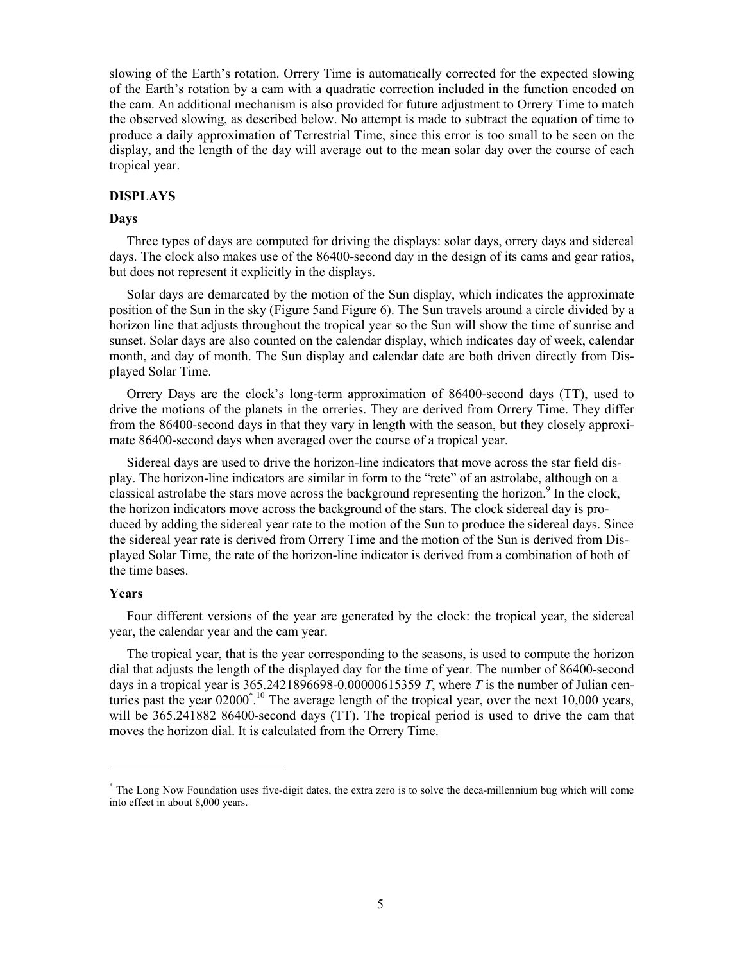slowing of the Earth's rotation. Orrery Time is automatically corrected for the expected slowing of the Earth's rotation by a cam with a quadratic correction included in the function encoded on the cam. An additional mechanism is also provided for future adjustment to Orrery Time to match the observed slowing, as described below. No attempt is made to subtract the equation of time to produce a daily approximation of Terrestrial Time, since this error is too small to be seen on the display, and the length of the day will average out to the mean solar day over the course of each tropical year.

#### **DISPLAYS**

#### **Days**

Three types of days are computed for driving the displays: solar days, orrery days and sidereal days. The clock also makes use of the 86400-second day in the design of its cams and gear ratios, but does not represent it explicitly in the displays.

Solar days are demarcated by the motion of the Sun display, which indicates the approximate position of the Sun in the sky (Figure 5and Figure 6). The Sun travels around a circle divided by a horizon line that adjusts throughout the tropical year so the Sun will show the time of sunrise and sunset. Solar days are also counted on the calendar display, which indicates day of week, calendar month, and day of month. The Sun display and calendar date are both driven directly from Displayed Solar Time.

Orrery Days are the clock's long-term approximation of 86400-second days (TT), used to drive the motions of the planets in the orreries. They are derived from Orrery Time. They differ from the 86400-second days in that they vary in length with the season, but they closely approximate 86400-second days when averaged over the course of a tropical year.

Sidereal days are used to drive the horizon-line indicators that move across the star field display. The horizon-line indicators are similar in form to the "rete" of an astrolabe, although on a classical astrolabe the stars move across the background representing the horizon.<sup>9</sup> In the clock, the horizon indicators move across the background of the stars. The clock sidereal day is produced by adding the sidereal year rate to the motion of the Sun to produce the sidereal days. Since the sidereal year rate is derived from Orrery Time and the motion of the Sun is derived from Displayed Solar Time, the rate of the horizon-line indicator is derived from a combination of both of the time bases.

#### **Years**

 $\overline{a}$ 

Four different versions of the year are generated by the clock: the tropical year, the sidereal year, the calendar year and the cam year.

The tropical year, that is the year corresponding to the seasons, is used to compute the horizon dial that adjusts the length of the displayed day for the time of year. The number of 86400-second days in a tropical year is 365.2421896698-0.00000615359 *T*, where *T* is the number of Julian centuries past the year  $02000^{\degree}$ .<sup>10</sup> The average length of the tropical year, over the next 10,000 years, will be 365.241882 86400-second days (TT). The tropical period is used to drive the cam that moves the horizon dial. It is calculated from the Orrery Time.

<sup>\*</sup> The Long Now Foundation uses five-digit dates, the extra zero is to solve the deca-millennium bug which will come into effect in about 8,000 years.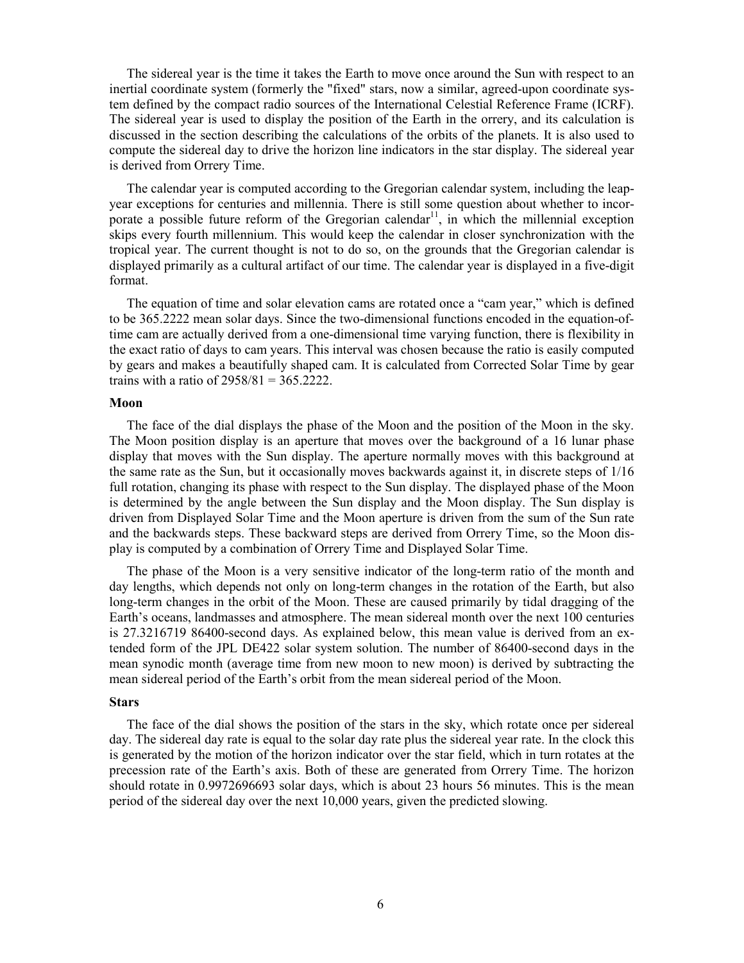The sidereal year is the time it takes the Earth to move once around the Sun with respect to an inertial coordinate system (formerly the "fixed" stars, now a similar, agreed-upon coordinate system defined by the compact radio sources of the International Celestial Reference Frame (ICRF). The sidereal year is used to display the position of the Earth in the orrery, and its calculation is discussed in the section describing the calculations of the orbits of the planets. It is also used to compute the sidereal day to drive the horizon line indicators in the star display. The sidereal year is derived from Orrery Time.

The calendar year is computed according to the Gregorian calendar system, including the leapyear exceptions for centuries and millennia. There is still some question about whether to incorporate a possible future reform of the Gregorian calendar<sup>11</sup>, in which the millennial exception skips every fourth millennium. This would keep the calendar in closer synchronization with the tropical year. The current thought is not to do so, on the grounds that the Gregorian calendar is displayed primarily as a cultural artifact of our time. The calendar year is displayed in a five-digit format.

The equation of time and solar elevation cams are rotated once a "cam year," which is defined to be 365.2222 mean solar days. Since the two-dimensional functions encoded in the equation-oftime cam are actually derived from a one-dimensional time varying function, there is flexibility in the exact ratio of days to cam years. This interval was chosen because the ratio is easily computed by gears and makes a beautifully shaped cam. It is calculated from Corrected Solar Time by gear trains with a ratio of  $2958/81 = 365.2222$ .

#### **Moon**

The face of the dial displays the phase of the Moon and the position of the Moon in the sky. The Moon position display is an aperture that moves over the background of a 16 lunar phase display that moves with the Sun display. The aperture normally moves with this background at the same rate as the Sun, but it occasionally moves backwards against it, in discrete steps of 1/16 full rotation, changing its phase with respect to the Sun display. The displayed phase of the Moon is determined by the angle between the Sun display and the Moon display. The Sun display is driven from Displayed Solar Time and the Moon aperture is driven from the sum of the Sun rate and the backwards steps. These backward steps are derived from Orrery Time, so the Moon display is computed by a combination of Orrery Time and Displayed Solar Time.

The phase of the Moon is a very sensitive indicator of the long-term ratio of the month and day lengths, which depends not only on long-term changes in the rotation of the Earth, but also long-term changes in the orbit of the Moon. These are caused primarily by tidal dragging of the Earth's oceans, landmasses and atmosphere. The mean sidereal month over the next 100 centuries is 27.3216719 86400-second days. As explained below, this mean value is derived from an extended form of the JPL DE422 solar system solution. The number of 86400-second days in the mean synodic month (average time from new moon to new moon) is derived by subtracting the mean sidereal period of the Earth's orbit from the mean sidereal period of the Moon.

#### **Stars**

The face of the dial shows the position of the stars in the sky, which rotate once per sidereal day. The sidereal day rate is equal to the solar day rate plus the sidereal year rate. In the clock this is generated by the motion of the horizon indicator over the star field, which in turn rotates at the precession rate of the Earth's axis. Both of these are generated from Orrery Time. The horizon should rotate in 0.9972696693 solar days, which is about 23 hours 56 minutes. This is the mean period of the sidereal day over the next 10,000 years, given the predicted slowing.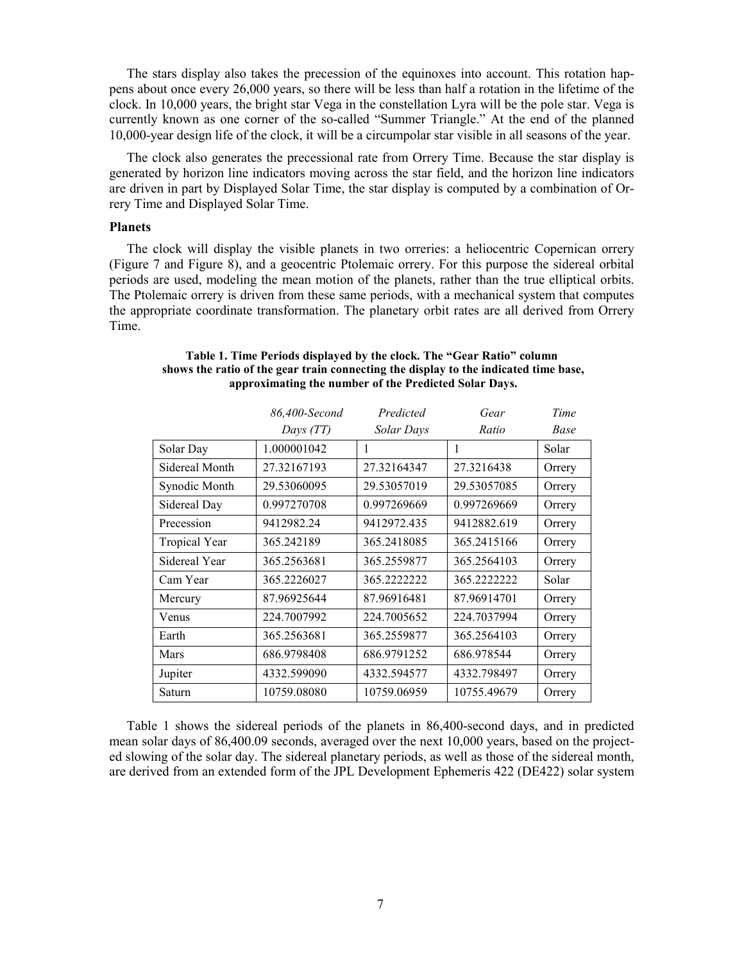The stars display also takes the precession of the equinoxes into account. This rotation happens about once every 26,000 years, so there will be less than half a rotation in the lifetime of the clock. In 10,000 years, the bright star Vega in the constellation Lyra will be the pole star. Vega is currently known as one corner of the so-called "Summer Triangle." At the end of the planned 10,000-year design life of the clock, it will be a circumpolar star visible in all seasons of the year.

The clock also generates the precessional rate from Orrery Time. Because the star display is generated by horizon line indicators moving across the star field, and the horizon line indicators are driven in part by Displayed Solar Time, the star display is computed by a combination of Orrery Time and Displayed Solar Time.

# **Planets**

The clock will display the visible planets in two orreries: a heliocentric Copernican orrery (Figure 7 and Figure 8), and a geocentric Ptolemaic orrery. For this purpose the sidereal orbital periods are used, modeling the mean motion of the planets, rather than the true elliptical orbits. The Ptolemaic orrery is driven from these same periods, with a mechanical system that computes the appropriate coordinate transformation. The planetary orbit rates are all derived from Orrery Time.

|                      | 86,400-Second | Predicted   | Gear        | Time   |
|----------------------|---------------|-------------|-------------|--------|
|                      | Days (TT)     | Solar Days  | Ratio       | Base   |
| Solar Day            | 1.000001042   | 1           | 1           | Solar  |
| Sidereal Month       | 27.32167193   | 27.32164347 | 27.3216438  | Orrery |
| Synodic Month        | 29.53060095   | 29.53057019 | 29.53057085 | Orrery |
| Sidereal Day         | 0.997270708   | 0.997269669 | 0.997269669 | Orrery |
| Precession           | 9412982.24    | 9412972.435 | 9412882.619 | Orrery |
| <b>Tropical Year</b> | 365.242189    | 365.2418085 | 365.2415166 | Orrery |
| Sidereal Year        | 365.2563681   | 365.2559877 | 365.2564103 | Orrery |
| Cam Year             | 365.2226027   | 365.2222222 | 365.2222222 | Solar  |
| Mercury              | 87.96925644   | 87.96916481 | 87.96914701 | Orrery |
| Venus                | 224.7007992   | 224.7005652 | 224.7037994 | Orrery |
| Earth                | 365.2563681   | 365.2559877 | 365.2564103 | Orrery |
| Mars                 | 686.9798408   | 686.9791252 | 686.978544  | Orrery |
| Jupiter              | 4332.599090   | 4332.594577 | 4332.798497 | Orrery |
| Saturn               | 10759.08080   | 10759.06959 | 10755.49679 | Orrery |

#### **Table 1. Time Periods displayed by the clock. The "Gear Ratio" column shows the ratio of the gear train connecting the display to the indicated time base, approximating the number of the Predicted Solar Days.**

Table 1 shows the sidereal periods of the planets in 86,400-second days, and in predicted mean solar days of 86,400.09 seconds, averaged over the next 10,000 years, based on the projected slowing of the solar day. The sidereal planetary periods, as well as those of the sidereal month, are derived from an extended form of the JPL Development Ephemeris 422 (DE422) solar system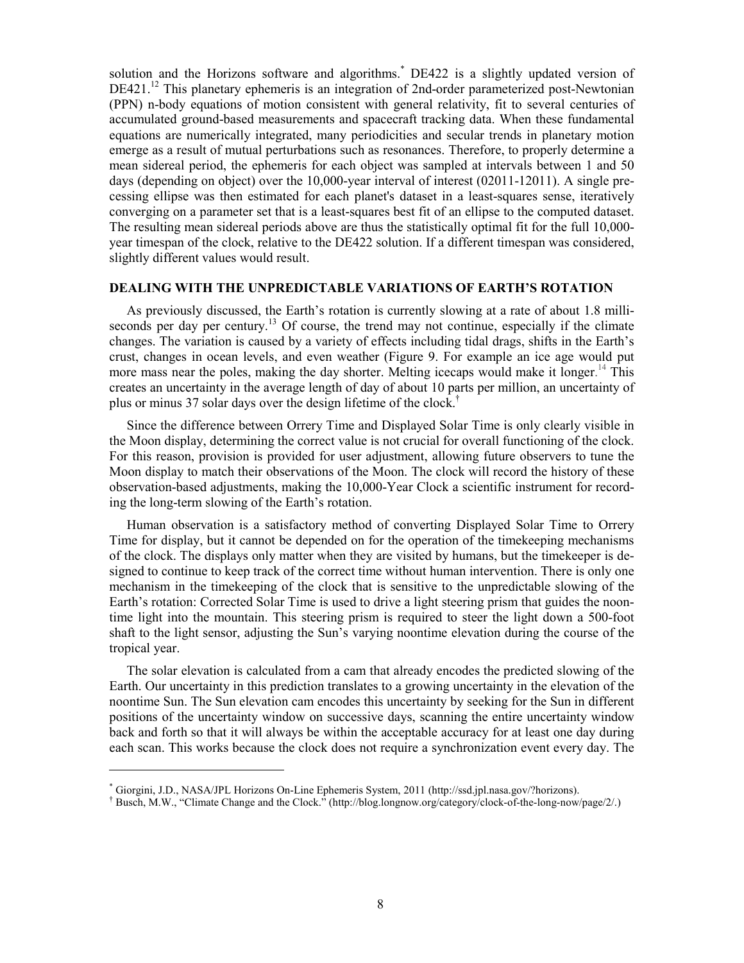solution and the Horizons software and algorithms.\* DE422 is a slightly updated version of DE421.<sup>12</sup> This planetary ephemeris is an integration of 2nd-order parameterized post-Newtonian (PPN) n-body equations of motion consistent with general relativity, fit to several centuries of accumulated ground-based measurements and spacecraft tracking data. When these fundamental equations are numerically integrated, many periodicities and secular trends in planetary motion emerge as a result of mutual perturbations such as resonances. Therefore, to properly determine a mean sidereal period, the ephemeris for each object was sampled at intervals between 1 and 50 days (depending on object) over the 10,000-year interval of interest (02011-12011). A single precessing ellipse was then estimated for each planet's dataset in a least-squares sense, iteratively converging on a parameter set that is a least-squares best fit of an ellipse to the computed dataset. The resulting mean sidereal periods above are thus the statistically optimal fit for the full 10,000 year timespan of the clock, relative to the DE422 solution. If a different timespan was considered, slightly different values would result.

#### **DEALING WITH THE UNPREDICTABLE VARIATIONS OF EARTH'S ROTATION**

As previously discussed, the Earth's rotation is currently slowing at a rate of about 1.8 milliseconds per day per century.<sup>13</sup> Of course, the trend may not continue, especially if the climate changes. The variation is caused by a variety of effects including tidal drags, shifts in the Earth's crust, changes in ocean levels, and even weather (Figure 9. For example an ice age would put more mass near the poles, making the day shorter. Melting icecaps would make it longer.<sup>14</sup> This creates an uncertainty in the average length of day of about 10 parts per million, an uncertainty of plus or minus 37 solar days over the design lifetime of the clock.†

Since the difference between Orrery Time and Displayed Solar Time is only clearly visible in the Moon display, determining the correct value is not crucial for overall functioning of the clock. For this reason, provision is provided for user adjustment, allowing future observers to tune the Moon display to match their observations of the Moon. The clock will record the history of these observation-based adjustments, making the 10,000-Year Clock a scientific instrument for recording the long-term slowing of the Earth's rotation.

Human observation is a satisfactory method of converting Displayed Solar Time to Orrery Time for display, but it cannot be depended on for the operation of the timekeeping mechanisms of the clock. The displays only matter when they are visited by humans, but the timekeeper is designed to continue to keep track of the correct time without human intervention. There is only one mechanism in the timekeeping of the clock that is sensitive to the unpredictable slowing of the Earth's rotation: Corrected Solar Time is used to drive a light steering prism that guides the noontime light into the mountain. This steering prism is required to steer the light down a 500-foot shaft to the light sensor, adjusting the Sun's varying noontime elevation during the course of the tropical year.

The solar elevation is calculated from a cam that already encodes the predicted slowing of the Earth. Our uncertainty in this prediction translates to a growing uncertainty in the elevation of the noontime Sun. The Sun elevation cam encodes this uncertainty by seeking for the Sun in different positions of the uncertainty window on successive days, scanning the entire uncertainty window back and forth so that it will always be within the acceptable accuracy for at least one day during each scan. This works because the clock does not require a synchronization event every day. The

<u>.</u>

† Busch, M.W., "Climate Change and the Clock." (http://blog.longnow.org/category/clock-of-the-long-now/page/2/.)

<sup>\*</sup> Giorgini, J.D., NASA/JPL Horizons On-Line Ephemeris System, 2011 (http://ssd.jpl.nasa.gov/?horizons).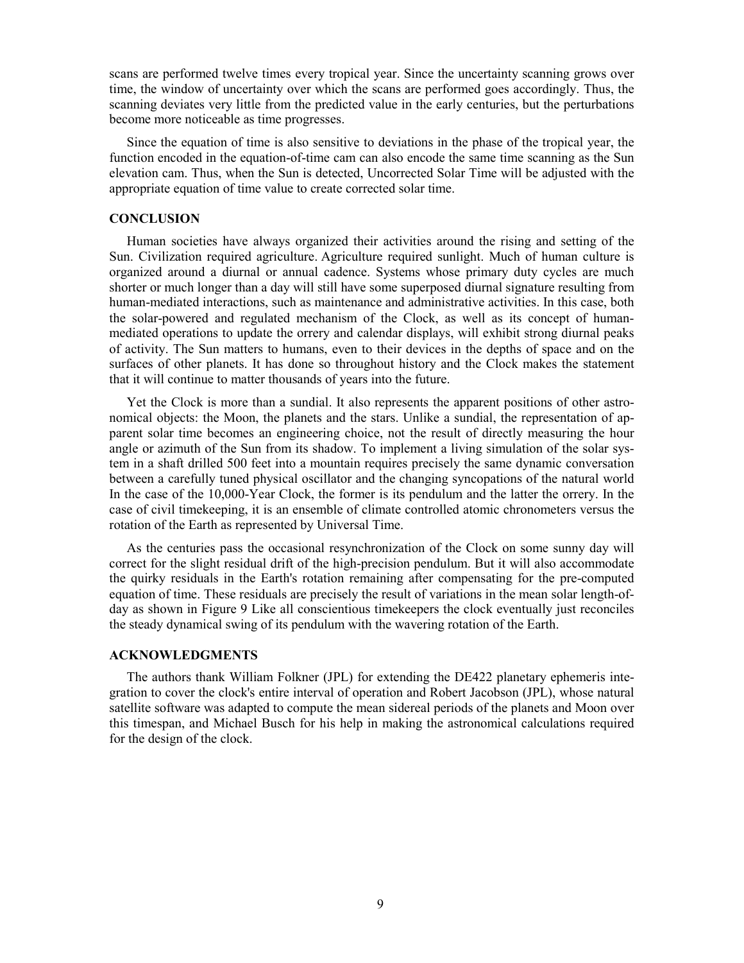scans are performed twelve times every tropical year. Since the uncertainty scanning grows over time, the window of uncertainty over which the scans are performed goes accordingly. Thus, the scanning deviates very little from the predicted value in the early centuries, but the perturbations become more noticeable as time progresses.

Since the equation of time is also sensitive to deviations in the phase of the tropical year, the function encoded in the equation-of-time cam can also encode the same time scanning as the Sun elevation cam. Thus, when the Sun is detected, Uncorrected Solar Time will be adjusted with the appropriate equation of time value to create corrected solar time.

#### **CONCLUSION**

Human societies have always organized their activities around the rising and setting of the Sun. Civilization required agriculture. Agriculture required sunlight. Much of human culture is organized around a diurnal or annual cadence. Systems whose primary duty cycles are much shorter or much longer than a day will still have some superposed diurnal signature resulting from human-mediated interactions, such as maintenance and administrative activities. In this case, both the solar-powered and regulated mechanism of the Clock, as well as its concept of humanmediated operations to update the orrery and calendar displays, will exhibit strong diurnal peaks of activity. The Sun matters to humans, even to their devices in the depths of space and on the surfaces of other planets. It has done so throughout history and the Clock makes the statement that it will continue to matter thousands of years into the future.

Yet the Clock is more than a sundial. It also represents the apparent positions of other astronomical objects: the Moon, the planets and the stars. Unlike a sundial, the representation of apparent solar time becomes an engineering choice, not the result of directly measuring the hour angle or azimuth of the Sun from its shadow. To implement a living simulation of the solar system in a shaft drilled 500 feet into a mountain requires precisely the same dynamic conversation between a carefully tuned physical oscillator and the changing syncopations of the natural world In the case of the 10,000-Year Clock, the former is its pendulum and the latter the orrery. In the case of civil timekeeping, it is an ensemble of climate controlled atomic chronometers versus the rotation of the Earth as represented by Universal Time.

As the centuries pass the occasional resynchronization of the Clock on some sunny day will correct for the slight residual drift of the high-precision pendulum. But it will also accommodate the quirky residuals in the Earth's rotation remaining after compensating for the pre-computed equation of time. These residuals are precisely the result of variations in the mean solar length-ofday as shown in Figure 9 Like all conscientious timekeepers the clock eventually just reconciles the steady dynamical swing of its pendulum with the wavering rotation of the Earth.

### **ACKNOWLEDGMENTS**

The authors thank William Folkner (JPL) for extending the DE422 planetary ephemeris integration to cover the clock's entire interval of operation and Robert Jacobson (JPL), whose natural satellite software was adapted to compute the mean sidereal periods of the planets and Moon over this timespan, and Michael Busch for his help in making the astronomical calculations required for the design of the clock.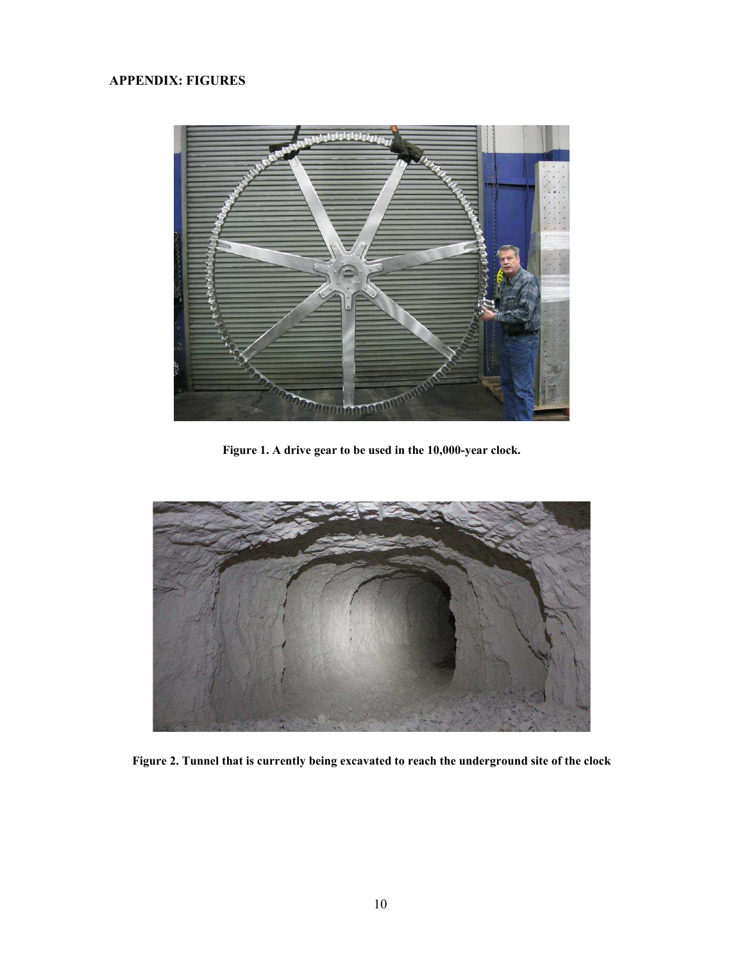# **APPENDIX: FIGURES**



**Figure 1. A drive gear to be used in the 10,000-year clock.** 



**Figure 2. Tunnel that is currently being excavated to reach the underground site of the clock**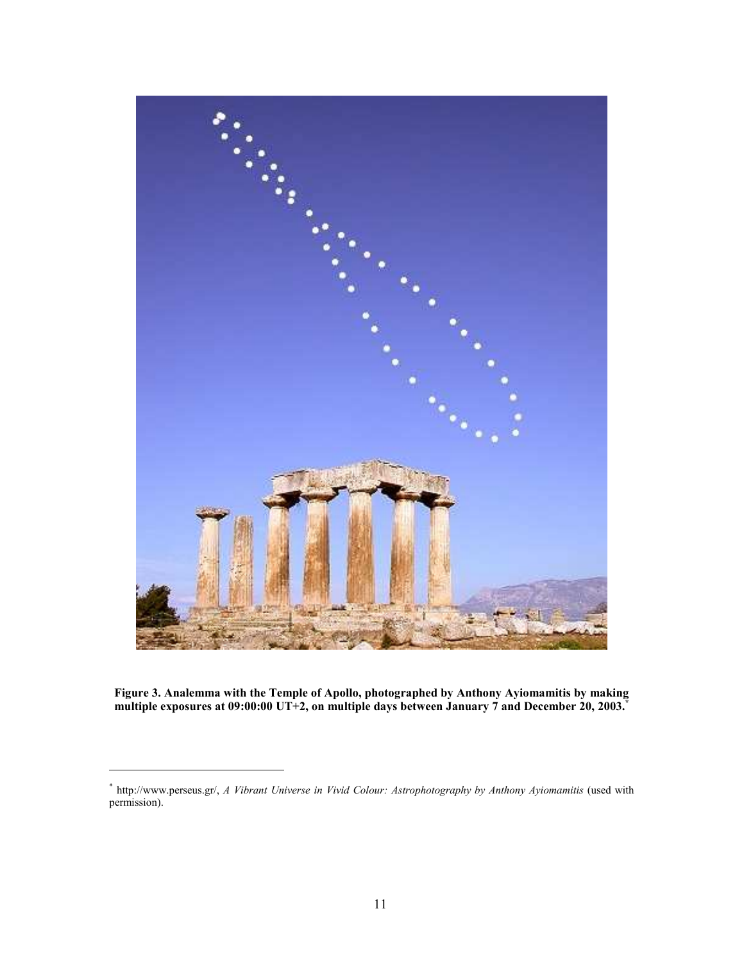

**Figure 3. Analemma with the Temple of Apollo, photographed by Anthony Ayiomamitis by making multiple exposures at 09:00:00 UT+2, on multiple days between January 7 and December 20, 2003.\***

<u>.</u>

<sup>\*</sup> http://www.perseus.gr/, *A Vibrant Universe in Vivid Colour: Astrophotography by Anthony Ayiomamitis* (used with permission).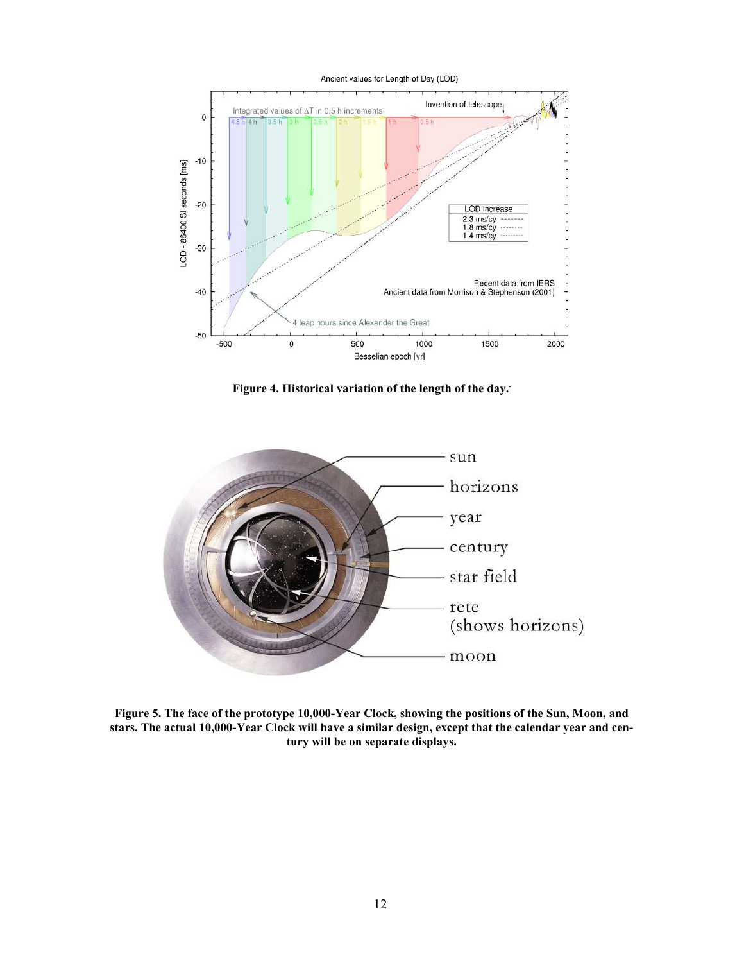

**Figure 4. Historical variation of the length of the day..**



**Figure 5. The face of the prototype 10,000-Year Clock, showing the positions of the Sun, Moon, and stars. The actual 10,000-Year Clock will have a similar design, except that the calendar year and century will be on separate displays.**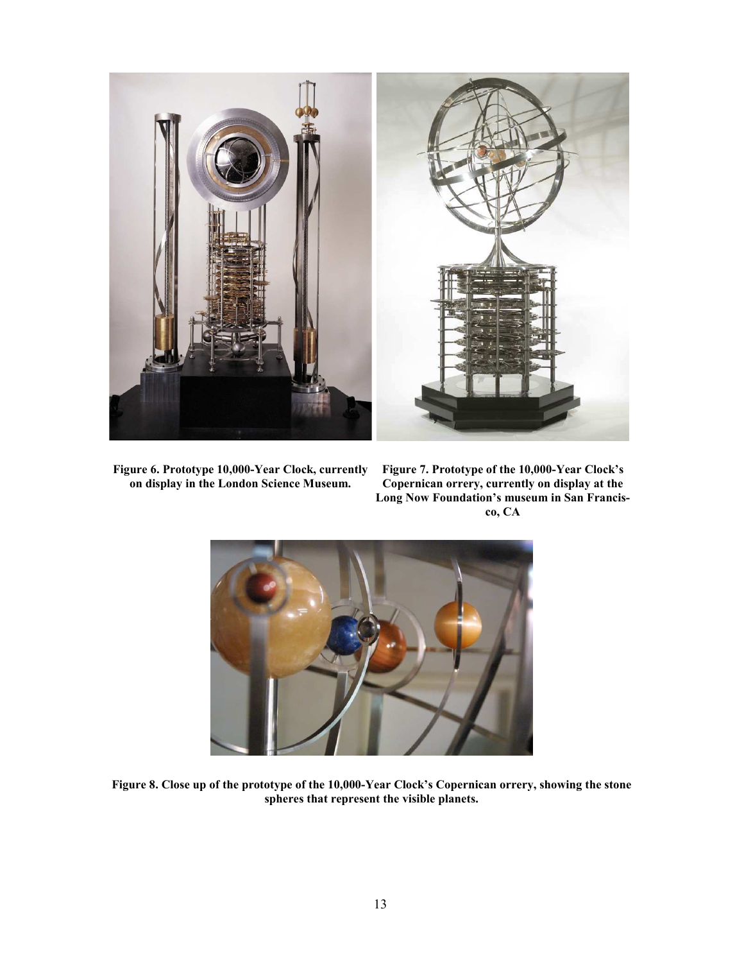

**Figure 6. Prototype 10,000-Year Clock, currently on display in the London Science Museum.** 

**Figure 7. Prototype of the 10,000-Year Clock's Copernican orrery, currently on display at the Long Now Foundation's museum in San Francisco, CA** 



**Figure 8. Close up of the prototype of the 10,000-Year Clock's Copernican orrery, showing the stone spheres that represent the visible planets.**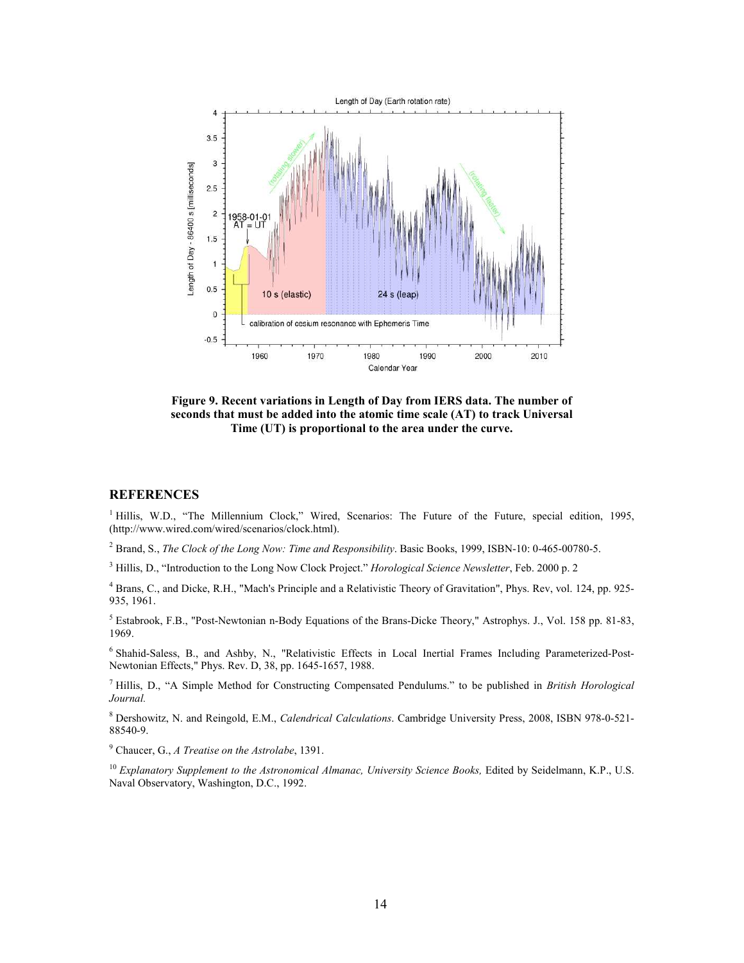

**Figure 9. Recent variations in Length of Day from IERS data. The number of seconds that must be added into the atomic time scale (AT) to track Universal Time (UT) is proportional to the area under the curve.** 

### **REFERENCES**

<sup>1</sup> Hillis, W.D., "The Millennium Clock," Wired, Scenarios: The Future of the Future, special edition, 1995, (http://www.wired.com/wired/scenarios/clock.html).

2 Brand, S., *The Clock of the Long Now: Time and Responsibility*. Basic Books, 1999, ISBN-10: 0-465-00780-5.

3 Hillis, D., "Introduction to the Long Now Clock Project." *Horological Science Newsletter*, Feb. 2000 p. 2

4 Brans, C., and Dicke, R.H., "Mach's Principle and a Relativistic Theory of Gravitation", Phys. Rev, vol. 124, pp. 925- 935, 1961.

5 Estabrook, F.B., "Post-Newtonian n-Body Equations of the Brans-Dicke Theory," Astrophys. J., Vol. 158 pp. 81-83, 1969.

<sup>6</sup> Shahid-Saless, B., and Ashby, N., "Relativistic Effects in Local Inertial Frames Including Parameterized-Post-Newtonian Effects," Phys. Rev. D, 38, pp. 1645-1657, 1988.

7 Hillis, D., "A Simple Method for Constructing Compensated Pendulums." to be published in *British Horological Journal.*

8 Dershowitz, N. and Reingold, E.M., *Calendrical Calculations*. Cambridge University Press, 2008, ISBN 978-0-521- 88540-9.

9 Chaucer, G., *A Treatise on the Astrolabe*, 1391.

<sup>10</sup> *Explanatory Supplement to the Astronomical Almanac, University Science Books, Edited by Seidelmann, K.P., U.S.* Naval Observatory, Washington, D.C., 1992.